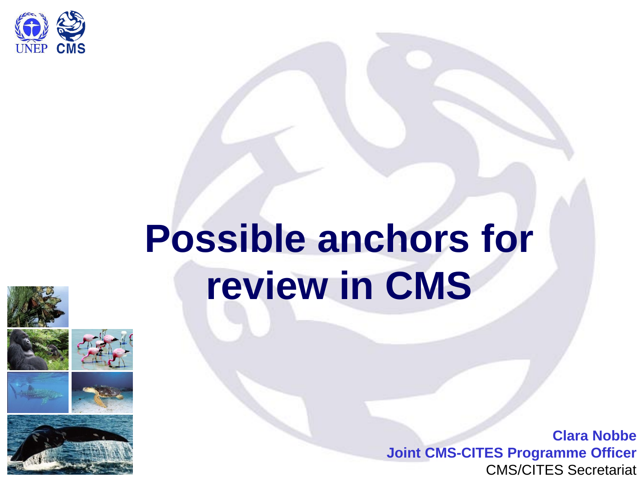

# **Possible anchors for review in CMS**









**Clara Nobbe Joint CMS-CITES Programme Officer** CMS/CITES Secretariat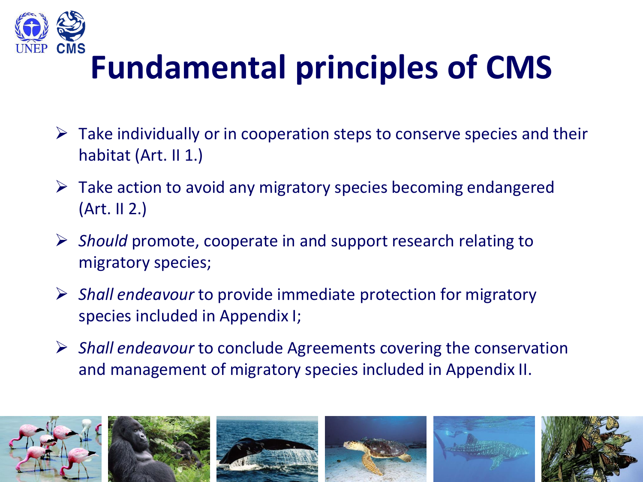

### **Fundamental principles of CMS**

- $\triangleright$  Take individually or in cooperation steps to conserve species and their habitat (Art. II 1.)
- $\triangleright$  Take action to avoid any migratory species becoming endangered (Art. II 2.)
- *Should* promote, cooperate in and support research relating to migratory species;
- *Shall endeavour* to provide immediate protection for migratory species included in Appendix I;
- *Shall endeavour* to conclude Agreements covering the conservation and management of migratory species included in Appendix II.

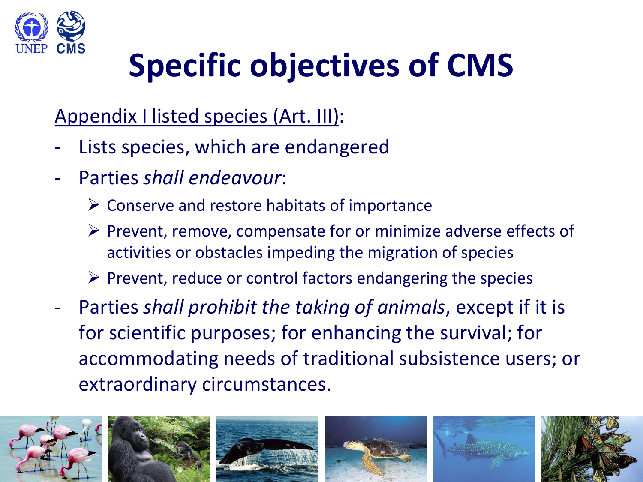

## **Specific objectives of CMS**

#### Appendix I listed species (Art. III):

- Lists species, which are endangered
- Parties *shall endeavour*:
	- $\triangleright$  Conserve and restore habitats of importance
	- $\triangleright$  Prevent, remove, compensate for or minimize adverse effects of activities or obstacles impeding the migration of species
	- $\triangleright$  Prevent, reduce or control factors endangering the species
- Parties *shall prohibit the taking of animals*, except if it is for scientific purposes; for enhancing the survival; for accommodating needs of traditional subsistence users; or extraordinary circumstances.

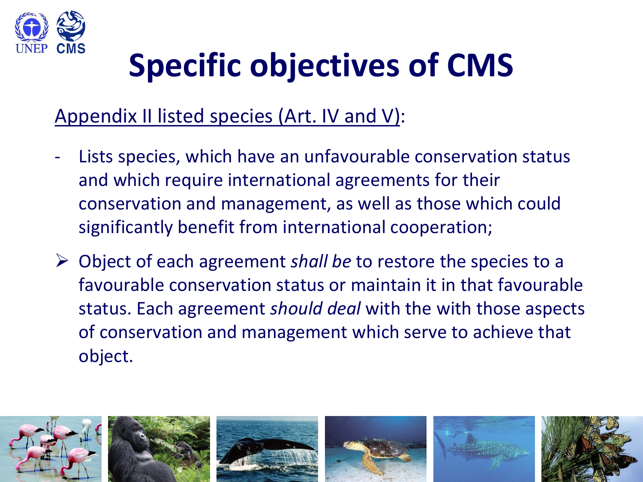

### **Specific objectives of CMS**

#### Appendix II listed species (Art. IV and V):

- Lists species, which have an unfavourable conservation status and which require international agreements for their conservation and management, as well as those which could significantly benefit from international cooperation;
- Object of each agreement *shall be* to restore the species to a favourable conservation status or maintain it in that favourable status. Each agreement *should deal* with the with those aspects of conservation and management which serve to achieve that object.

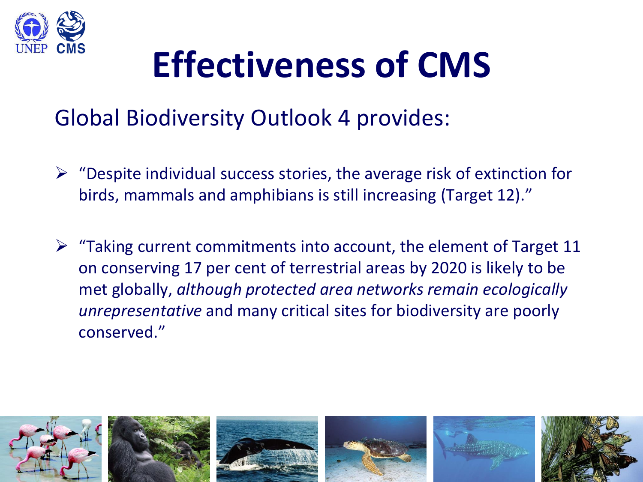

# **Effectiveness of CMS**

#### Global Biodiversity Outlook 4 provides:

- $\triangleright$  "Despite individual success stories, the average risk of extinction for birds, mammals and amphibians is still increasing (Target 12)."
- $\triangleright$  "Taking current commitments into account, the element of Target 11 on conserving 17 per cent of terrestrial areas by 2020 is likely to be met globally, *although protected area networks remain ecologically unrepresentative* and many critical sites for biodiversity are poorly conserved."

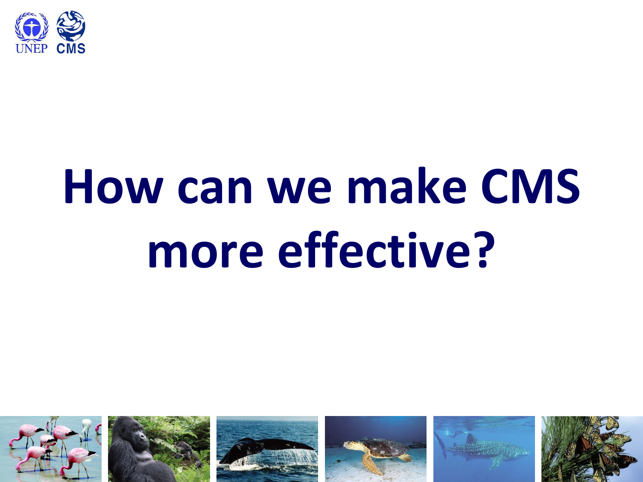

# **How can we make CMS more effective?**

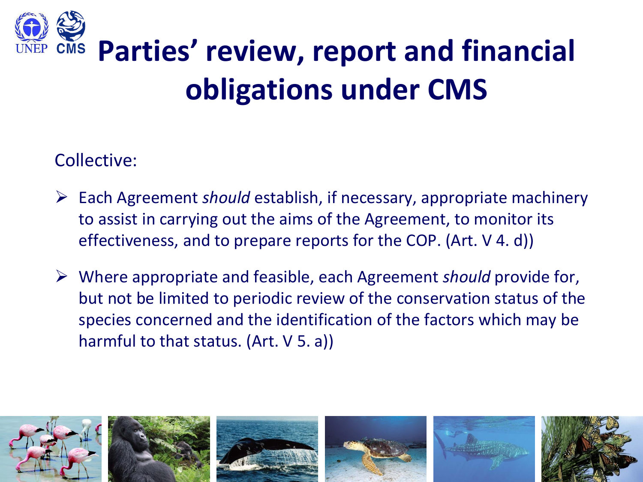

Collective:

- Each Agreement *should* establish, if necessary, appropriate machinery to assist in carrying out the aims of the Agreement, to monitor its effectiveness, and to prepare reports for the COP. (Art. V 4. d))
- Where appropriate and feasible, each Agreement *should* provide for, but not be limited to periodic review of the conservation status of the species concerned and the identification of the factors which may be harmful to that status. (Art. V 5. a))

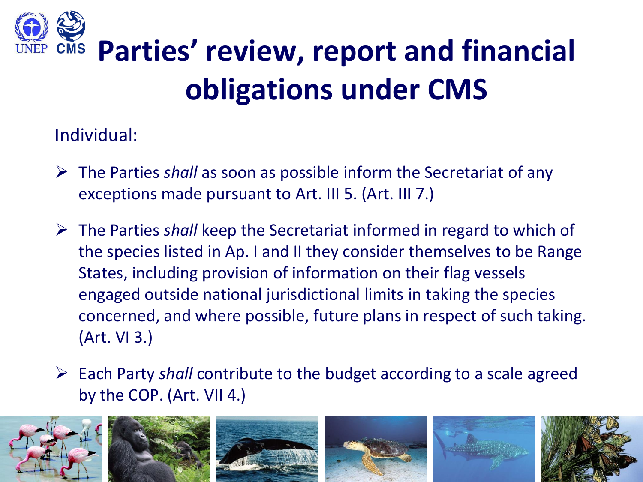

Individual:

- The Parties *shall* as soon as possible inform the Secretariat of any exceptions made pursuant to Art. III 5. (Art. III 7.)
- The Parties *shall* keep the Secretariat informed in regard to which of the species listed in Ap. I and II they consider themselves to be Range States, including provision of information on their flag vessels engaged outside national jurisdictional limits in taking the species concerned, and where possible, future plans in respect of such taking. (Art. VI 3.)
- Each Party *shall* contribute to the budget according to a scale agreed by the COP. (Art. VII 4.)

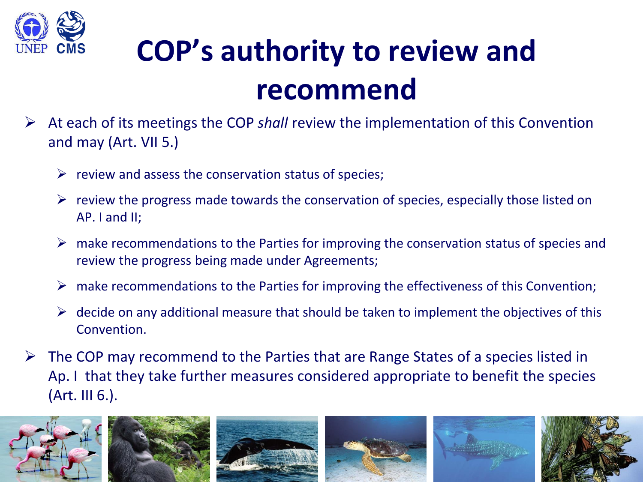

### **COP's authority to review and recommend**

- At each of its meetings the COP *shall* review the implementation of this Convention and may (Art. VII 5.)
	- $\triangleright$  review and assess the conservation status of species;
	- $\triangleright$  review the progress made towards the conservation of species, especially those listed on AP. I and II;
	- $\triangleright$  make recommendations to the Parties for improving the conservation status of species and review the progress being made under Agreements;
	- $\triangleright$  make recommendations to the Parties for improving the effectiveness of this Convention;
	- $\triangleright$  decide on any additional measure that should be taken to implement the objectives of this Convention.
- $\triangleright$  The COP may recommend to the Parties that are Range States of a species listed in Ap. I that they take further measures considered appropriate to benefit the species (Art. III 6.).

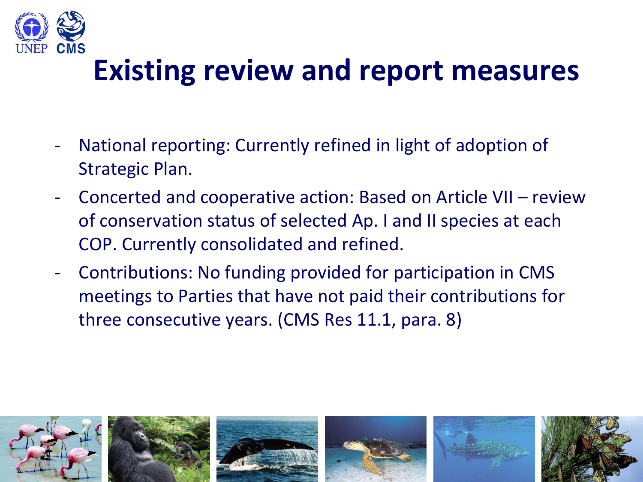

#### **Existing review and report measures**

- National reporting: Currently refined in light of adoption of Strategic Plan.
- Concerted and cooperative action: Based on Article VII review of conservation status of selected Ap. I and II species at each COP. Currently consolidated and refined.
- Contributions: No funding provided for participation in CMS meetings to Parties that have not paid their contributions for three consecutive years. (CMS Res 11.1, para. 8)